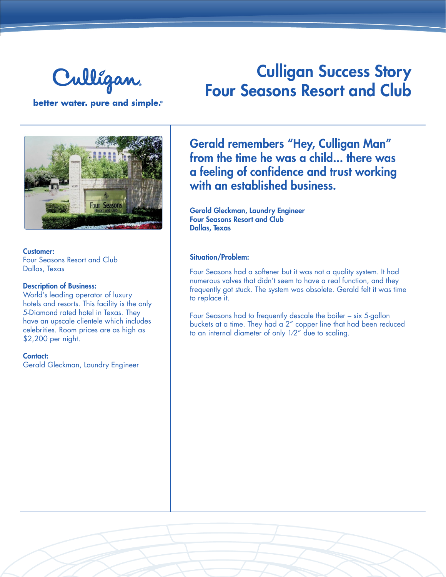

# Culligan Success Story Four Seasons Resort and Club

better water. pure and simple.®



Customer: Four Seasons Resort and Club Dallas, Texas

#### Description of Business:

World's leading operator of luxury hotels and resorts. This facility is the only 5-Diamond rated hotel in Texas. They have an upscale clientele which includes celebrities. Room prices are as high as \$2,200 per night.

#### Contact:

Gerald Gleckman, Laundry Engineer

Gerald remembers "Hey, Culligan Man" from the time he was a child... there was a feeling of confidence and trust working with an established business.

Gerald Gleckman, Laundry Engineer Four Seasons Resort and Club Dallas, Texas

#### Situation/Problem:

Four Seasons had a softener but it was not a quality system. It had numerous valves that didn't seem to have a real function, and they frequently got stuck. The system was obsolete. Gerald felt it was time to replace it.

Four Seasons had to frequently descale the boiler – six 5-gallon buckets at a time. They had a 2" copper line that had been reduced to an internal diameter of only 1⁄2" due to scaling.